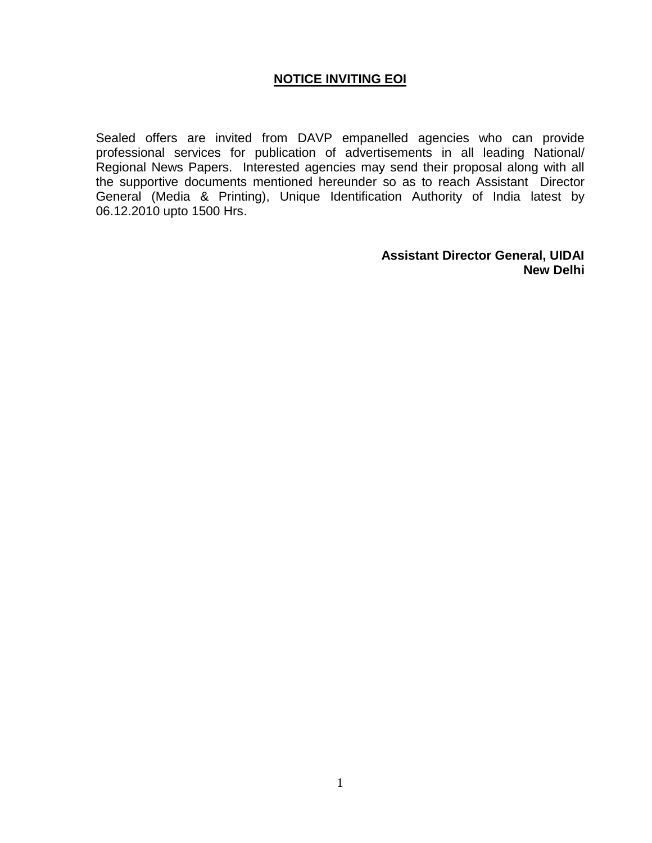#### **NOTICE INVITING EOI**

Sealed offers are invited from DAVP empanelled agencies who can provide professional services for publication of advertisements in all leading National/ Regional News Papers. Interested agencies may send their proposal along with all the supportive documents mentioned hereunder so as to reach Assistant Director General (Media & Printing), Unique Identification Authority of India latest by 06.12.2010 upto 1500 Hrs.

> **Assistant Director General, UIDAI New Delhi**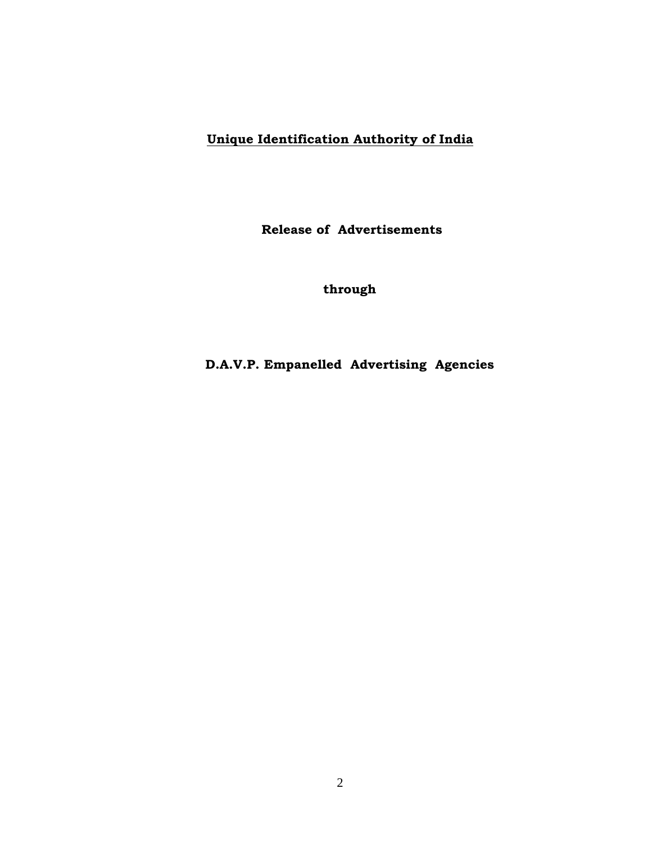# **Unique Identification Authority of India**

**Release of Advertisements** 

**through** 

**D.A.V.P. Empanelled Advertising Agencies**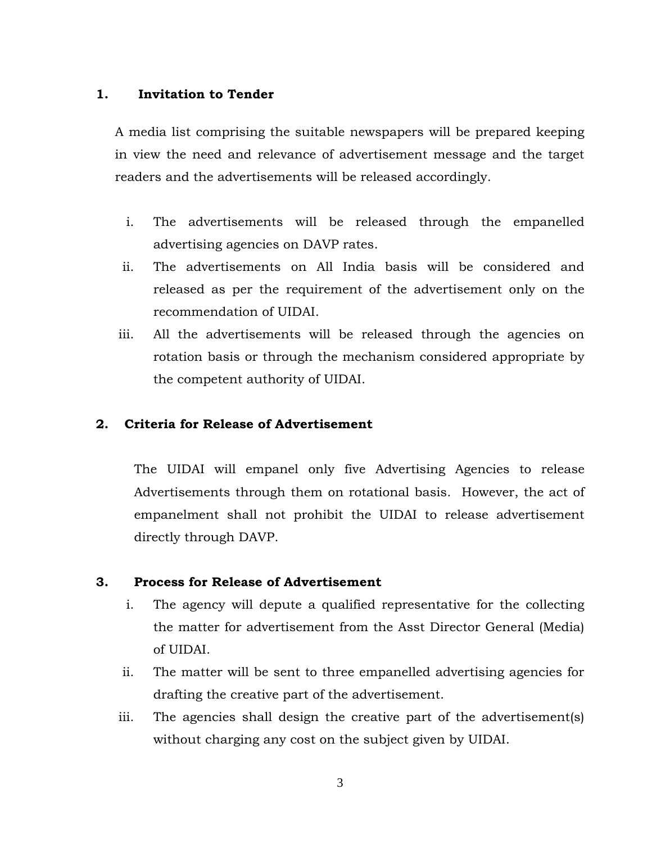### **1. Invitation to Tender**

A media list comprising the suitable newspapers will be prepared keeping in view the need and relevance of advertisement message and the target readers and the advertisements will be released accordingly.

- i. The advertisements will be released through the empanelled advertising agencies on DAVP rates.
- ii. The advertisements on All India basis will be considered and released as per the requirement of the advertisement only on the recommendation of UIDAI.
- iii. All the advertisements will be released through the agencies on rotation basis or through the mechanism considered appropriate by the competent authority of UIDAI.

## **2. Criteria for Release of Advertisement**

The UIDAI will empanel only five Advertising Agencies to release Advertisements through them on rotational basis. However, the act of empanelment shall not prohibit the UIDAI to release advertisement directly through DAVP.

### **3. Process for Release of Advertisement**

- i. The agency will depute a qualified representative for the collecting the matter for advertisement from the Asst Director General (Media) of UIDAI.
- ii. The matter will be sent to three empanelled advertising agencies for drafting the creative part of the advertisement.
- iii. The agencies shall design the creative part of the advertisement(s) without charging any cost on the subject given by UIDAI.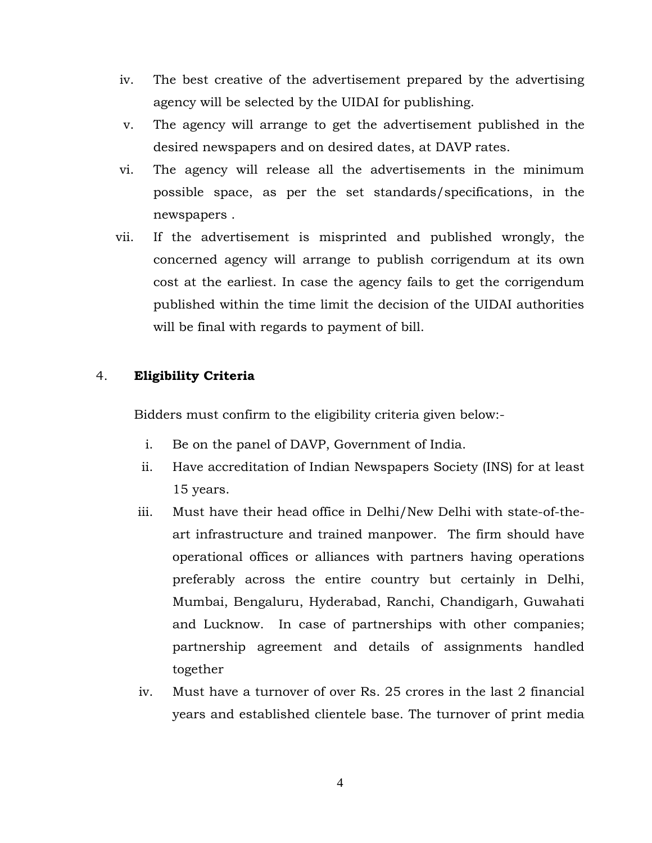- iv. The best creative of the advertisement prepared by the advertising agency will be selected by the UIDAI for publishing.
- v. The agency will arrange to get the advertisement published in the desired newspapers and on desired dates, at DAVP rates.
- vi. The agency will release all the advertisements in the minimum possible space, as per the set standards/specifications, in the newspapers .
- vii. If the advertisement is misprinted and published wrongly, the concerned agency will arrange to publish corrigendum at its own cost at the earliest. In case the agency fails to get the corrigendum published within the time limit the decision of the UIDAI authorities will be final with regards to payment of bill.

## 4. **Eligibility Criteria**

Bidders must confirm to the eligibility criteria given below:-

- i. Be on the panel of DAVP, Government of India.
- ii. Have accreditation of Indian Newspapers Society (INS) for at least 15 years.
- iii. Must have their head office in Delhi/New Delhi with state-of-theart infrastructure and trained manpower. The firm should have operational offices or alliances with partners having operations preferably across the entire country but certainly in Delhi, Mumbai, Bengaluru, Hyderabad, Ranchi, Chandigarh, Guwahati and Lucknow. In case of partnerships with other companies; partnership agreement and details of assignments handled together
- iv. Must have a turnover of over Rs. 25 crores in the last 2 financial years and established clientele base. The turnover of print media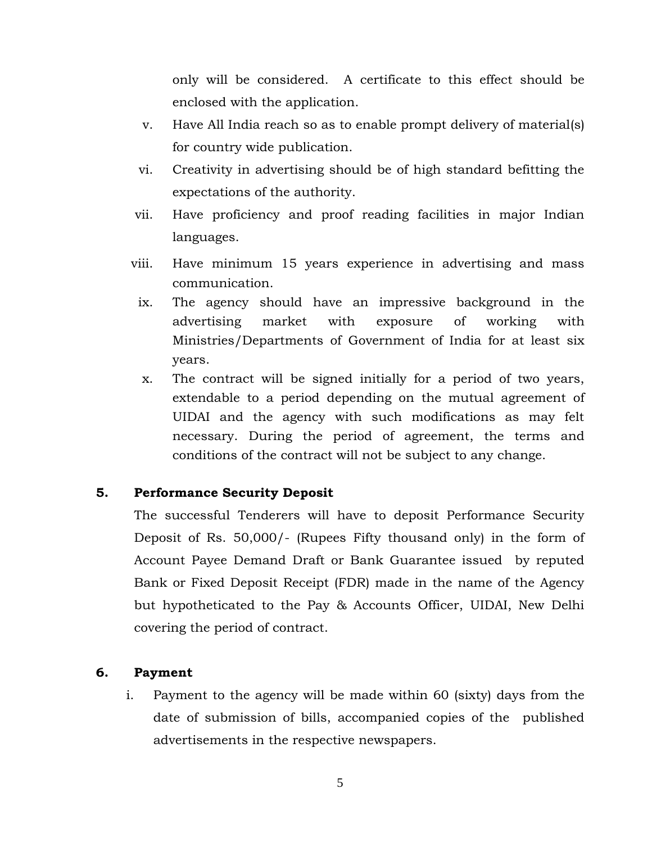only will be considered. A certificate to this effect should be enclosed with the application.

- v. Have All India reach so as to enable prompt delivery of material(s) for country wide publication.
- vi. Creativity in advertising should be of high standard befitting the expectations of the authority.
- vii. Have proficiency and proof reading facilities in major Indian languages.
- viii. Have minimum 15 years experience in advertising and mass communication.
- ix. The agency should have an impressive background in the advertising market with exposure of working with Ministries/Departments of Government of India for at least six years.
- x. The contract will be signed initially for a period of two years, extendable to a period depending on the mutual agreement of UIDAI and the agency with such modifications as may felt necessary. During the period of agreement, the terms and conditions of the contract will not be subject to any change.

### **5. Performance Security Deposit**

The successful Tenderers will have to deposit Performance Security Deposit of Rs. 50,000/- (Rupees Fifty thousand only) in the form of Account Payee Demand Draft or Bank Guarantee issued by reputed Bank or Fixed Deposit Receipt (FDR) made in the name of the Agency but hypotheticated to the Pay & Accounts Officer, UIDAI, New Delhi covering the period of contract.

#### **6. Payment**

i. Payment to the agency will be made within 60 (sixty) days from the date of submission of bills, accompanied copies of the published advertisements in the respective newspapers.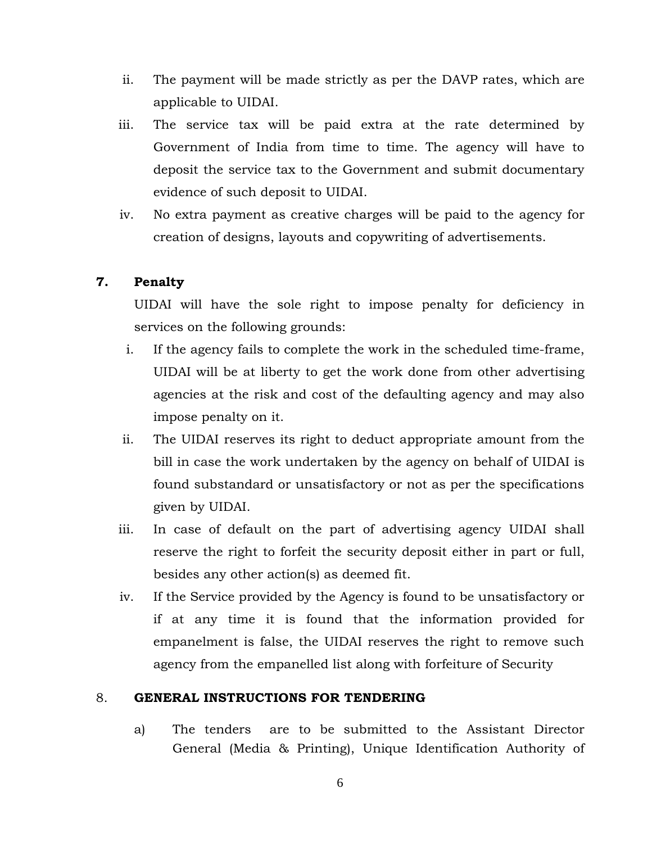- ii. The payment will be made strictly as per the DAVP rates, which are applicable to UIDAI.
- iii. The service tax will be paid extra at the rate determined by Government of India from time to time. The agency will have to deposit the service tax to the Government and submit documentary evidence of such deposit to UIDAI.
- iv. No extra payment as creative charges will be paid to the agency for creation of designs, layouts and copywriting of advertisements.

# **7. Penalty**

UIDAI will have the sole right to impose penalty for deficiency in services on the following grounds:

- i. If the agency fails to complete the work in the scheduled time-frame, UIDAI will be at liberty to get the work done from other advertising agencies at the risk and cost of the defaulting agency and may also impose penalty on it.
- ii. The UIDAI reserves its right to deduct appropriate amount from the bill in case the work undertaken by the agency on behalf of UIDAI is found substandard or unsatisfactory or not as per the specifications given by UIDAI.
- iii. In case of default on the part of advertising agency UIDAI shall reserve the right to forfeit the security deposit either in part or full, besides any other action(s) as deemed fit.
- iv. If the Service provided by the Agency is found to be unsatisfactory or if at any time it is found that the information provided for empanelment is false, the UIDAI reserves the right to remove such agency from the empanelled list along with forfeiture of Security

# 8. **GENERAL INSTRUCTIONS FOR TENDERING**

a) The tenders are to be submitted to the Assistant Director General (Media & Printing), Unique Identification Authority of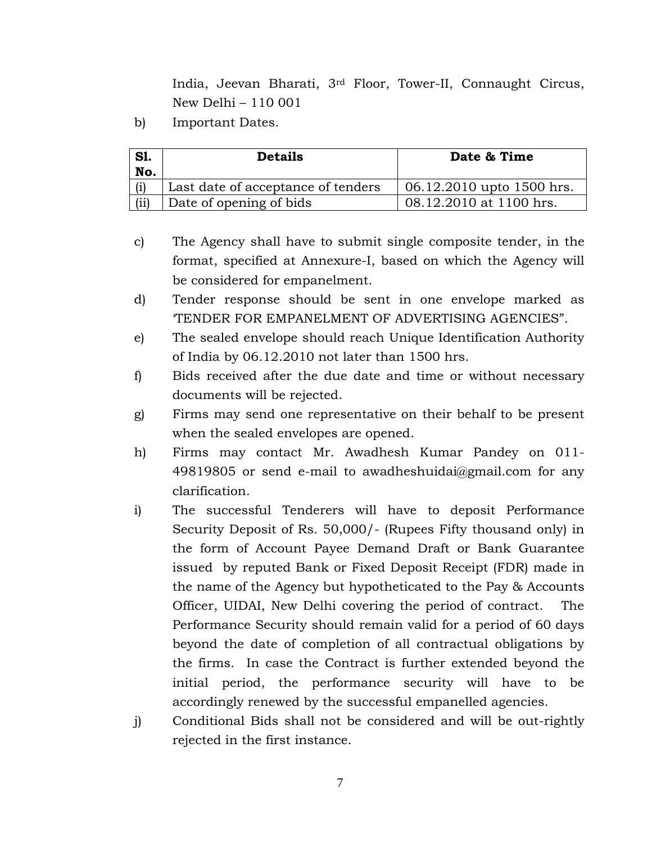India, Jeevan Bharati, 3rd Floor, Tower-II, Connaught Circus, New Delhi – 110 001

b) Important Dates.

| S1.<br>No. | <b>Details</b>                     | Date & Time               |
|------------|------------------------------------|---------------------------|
| (i)        | Last date of acceptance of tenders | 06.12.2010 upto 1500 hrs. |
| (ii)       | Date of opening of bids            | 08.12.2010 at 1100 hrs.   |

- c) The Agency shall have to submit single composite tender, in the format, specified at Annexure-I, based on which the Agency will be considered for empanelment.
- d) Tender response should be sent in one envelope marked as 'TENDER FOR EMPANELMENT OF ADVERTISING AGENCIES".
- e) The sealed envelope should reach Unique Identification Authority of India by 06.12.2010 not later than 1500 hrs.
- f) Bids received after the due date and time or without necessary documents will be rejected.
- g) Firms may send one representative on their behalf to be present when the sealed envelopes are opened.
- h) Firms may contact Mr. Awadhesh Kumar Pandey on 011- 49819805 or send e-mail to [awadheshuidai@gmail.com](mailto:awadheshuidai@gmail.com) for any clarification.
- i) The successful Tenderers will have to deposit Performance Security Deposit of Rs. 50,000/- (Rupees Fifty thousand only) in the form of Account Payee Demand Draft or Bank Guarantee issued by reputed Bank or Fixed Deposit Receipt (FDR) made in the name of the Agency but hypotheticated to the Pay & Accounts Officer, UIDAI, New Delhi covering the period of contract. The Performance Security should remain valid for a period of 60 days beyond the date of completion of all contractual obligations by the firms. In case the Contract is further extended beyond the initial period, the performance security will have to be accordingly renewed by the successful empanelled agencies.
- j) Conditional Bids shall not be considered and will be out-rightly rejected in the first instance.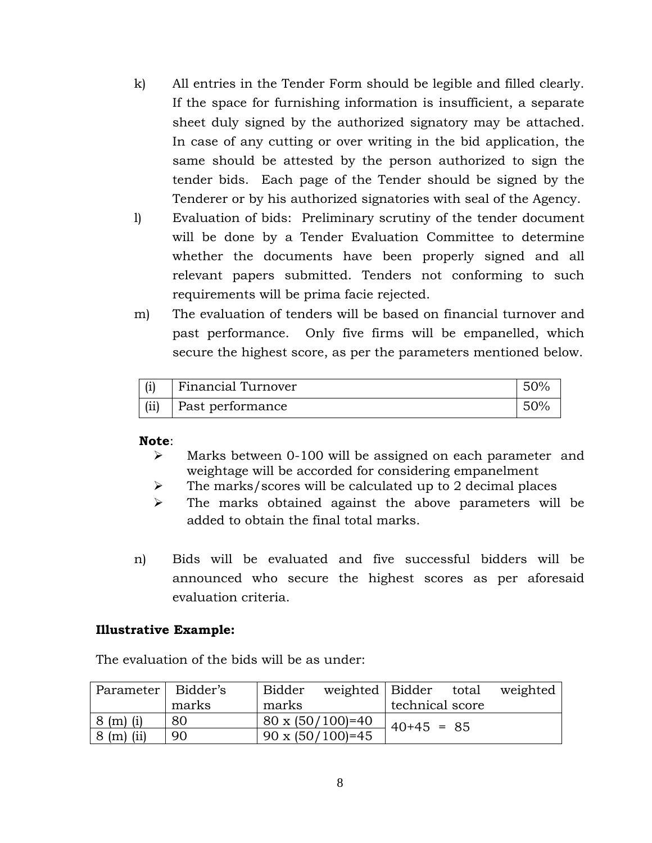- k) All entries in the Tender Form should be legible and filled clearly. If the space for furnishing information is insufficient, a separate sheet duly signed by the authorized signatory may be attached. In case of any cutting or over writing in the bid application, the same should be attested by the person authorized to sign the tender bids. Each page of the Tender should be signed by the Tenderer or by his authorized signatories with seal of the Agency.
- l) Evaluation of bids: Preliminary scrutiny of the tender document will be done by a Tender Evaluation Committee to determine whether the documents have been properly signed and all relevant papers submitted. Tenders not conforming to such requirements will be prima facie rejected.
- m) The evaluation of tenders will be based on financial turnover and past performance. Only five firms will be empanelled, which secure the highest score, as per the parameters mentioned below.

| (1)  | Financial Turnover | 50% |
|------|--------------------|-----|
| (ii) | Past performance   | 50% |

#### **Note**:

- Marks between 0-100 will be assigned on each parameter and weightage will be accorded for considering empanelment
- $\triangleright$  The marks/scores will be calculated up to 2 decimal places
- $\triangleright$  The marks obtained against the above parameters will be added to obtain the final total marks.
- n) Bids will be evaluated and five successful bidders will be announced who secure the highest scores as per aforesaid evaluation criteria.

### **Illustrative Example:**

The evaluation of the bids will be as under:

| Parameter   Bidder's         |       | Bidder | weighted   Bidder total   |                 |  | weighted |
|------------------------------|-------|--------|---------------------------|-----------------|--|----------|
|                              | marks | marks  |                           | technical score |  |          |
| $8 \; (m) \; (i)$            | 80    |        | $80 \times (50/100) = 40$ | $40+45 = 85$    |  |          |
| $8 \text{ (m)} \text{ (ii)}$ | 90    |        | $90 \times (50/100) = 45$ |                 |  |          |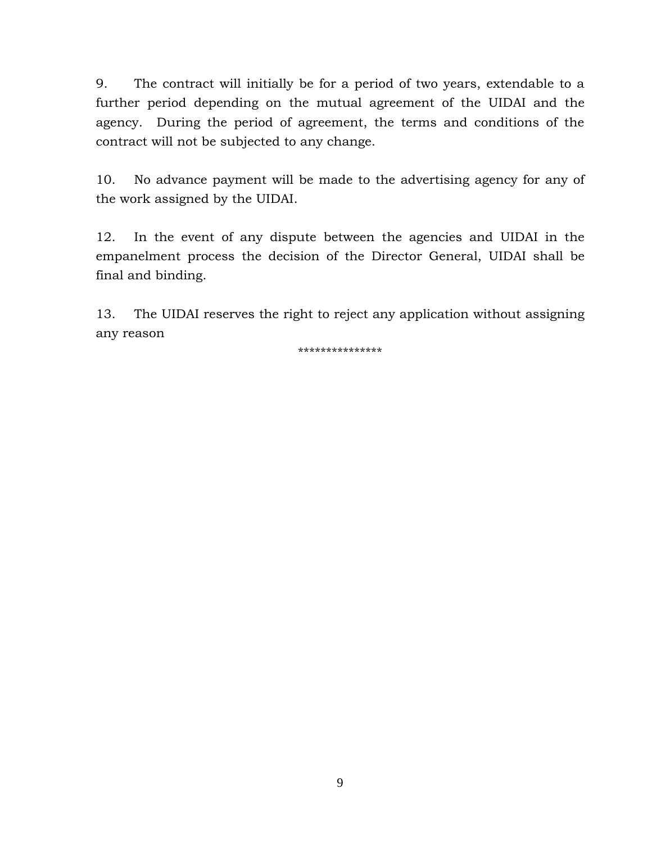9. The contract will initially be for a period of two years, extendable to a further period depending on the mutual agreement of the UIDAI and the agency. During the period of agreement, the terms and conditions of the contract will not be subjected to any change.

10. No advance payment will be made to the advertising agency for any of the work assigned by the UIDAI.

12. In the event of any dispute between the agencies and UIDAI in the empanelment process the decision of the Director General, UIDAI shall be final and binding.

13. The UIDAI reserves the right to reject any application without assigning any reason

\*\*\*\*\*\*\*\*\*\*\*\*\*\*\*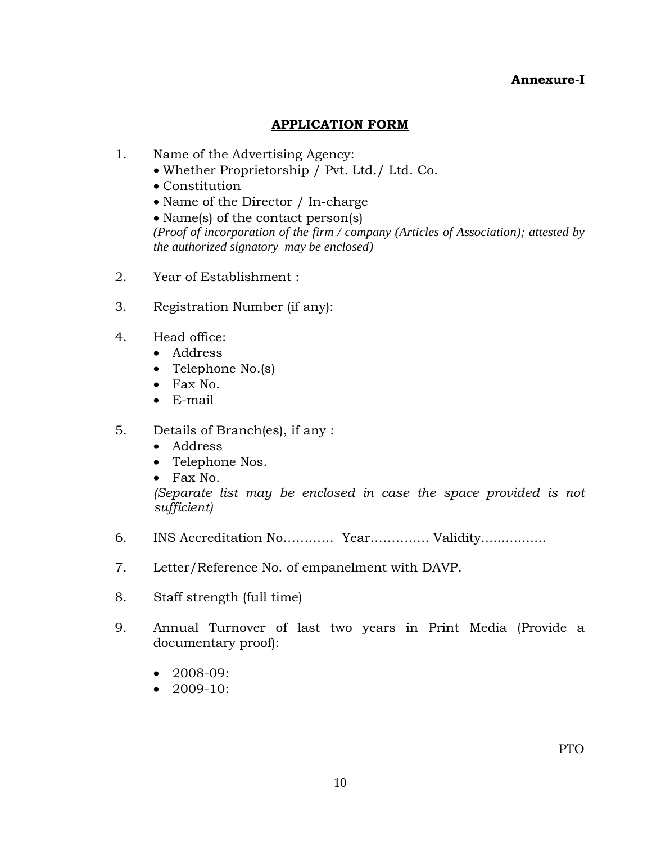## **Annexure-I**

## **APPLICATION FORM**

- 1. Name of the Advertising Agency:
	- Whether Proprietorship / Pvt. Ltd./ Ltd. Co.
	- Constitution
	- Name of the Director / In-charge

• Name(s) of the contact person(s) *(Proof of incorporation of the firm / company (Articles of Association); attested by the authorized signatory may be enclosed)*

- 2. Year of Establishment :
- 3. Registration Number (if any):
- 4. Head office:
	- Address
	- Telephone No.(s)
	- Fax No.
	- E-mail
- 5. Details of Branch(es), if any :
	- Address
	- Telephone Nos.
	- Fax No.

*(Separate list may be enclosed in case the space provided is not sufficient)*

- 6. INS Accreditation No………… Year………….. Validity................
- 7. Letter/Reference No. of empanelment with DAVP.
- 8. Staff strength (full time)
- 9. Annual Turnover of last two years in Print Media (Provide a documentary proof):
	- 2008-09:
	- $\bullet$  2009-10: